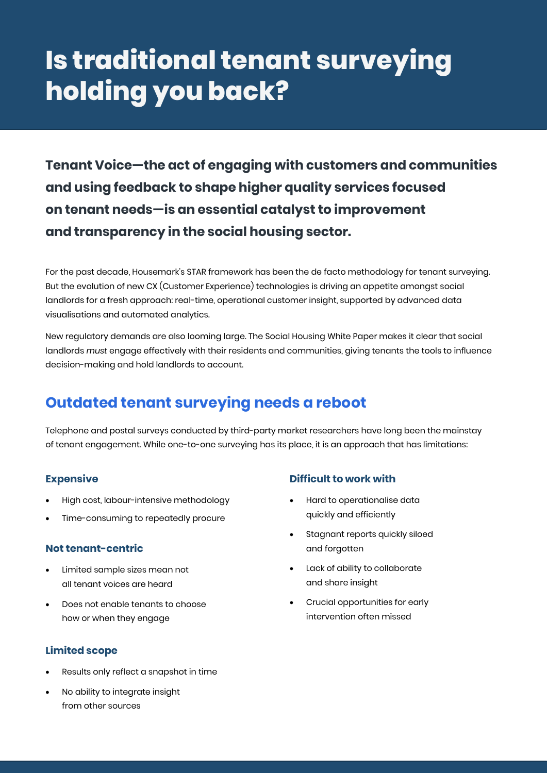# **Is traditional tenant surveying holding you back?**

**Tenant Voice—the act of engaging with customers and communities and using feedback to shape higher quality services focused on tenant needs—is an essential catalyst to improvement and transparency in the social housing sector.**

For the past decade, Housemark's STAR framework has been the de facto methodology for tenant surveying. But the evolution of new CX (Customer Experience) technologies is driving an appetite amongst social landlords for a fresh approach: real-time, operational customer insight, supported by advanced data visualisations and automated analytics.

New regulatory demands are also looming large. The Social Housing White Paper makes it clear that social landlords *must* engage effectively with their residents and communities, giving tenants the tools to influence decision-making and hold landlords to account.

# **Outdated tenant surveying needs a reboot**

Telephone and postal surveys conducted by third-party market researchers have long been the mainstay of tenant engagement. While one-to-one surveying has its place, it is an approach that has limitations:

## **Expensive**

- High cost, labour-intensive methodology
- Time-consuming to repeatedly procure

#### **Not tenant-centric**

- Limited sample sizes mean not all tenant voices are heard
- Does not enable tenants to choose how or when they engage

## **Limited scope**

- Results only reflect a snapshot in time
- No ability to integrate insight from other sources

## **Difficult to work with**

- Hard to operationalise data quickly and efficiently
- Stagnant reports quickly siloed and forgotten
- Lack of ability to collaborate and share insight
- Crucial opportunities for early intervention often missed